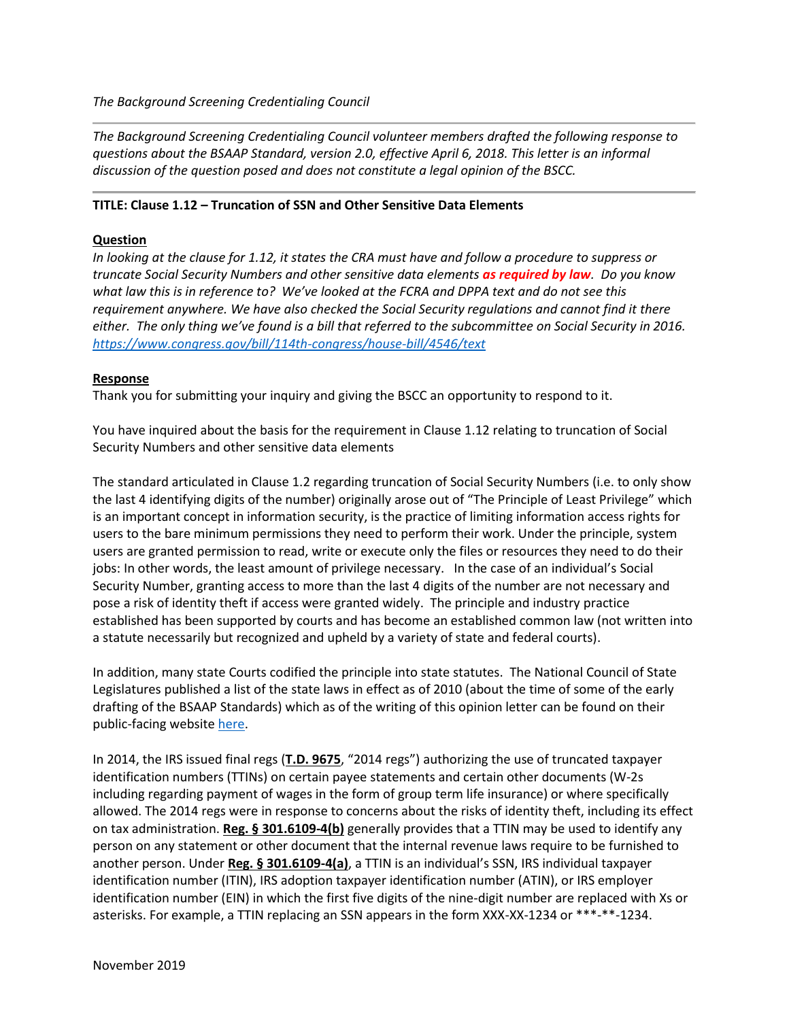*The Background Screening Credentialing Council*

*The Background Screening Credentialing Council volunteer members drafted the following response to questions about the BSAAP Standard, version 2.0, effective April 6, 2018. This letter is an informal discussion of the question posed and does not constitute a legal opinion of the BSCC.*

## **TITLE: Clause 1.12 – Truncation of SSN and Other Sensitive Data Elements**

## **Question**

*In looking at the clause for 1.12, it states the CRA must have and follow a procedure to suppress or truncate Social Security Numbers and other sensitive data elements as required by law. Do you know what law this is in reference to? We've looked at the FCRA and DPPA text and do not see this requirement anywhere. We have also checked the Social Security regulations and cannot find it there either. The only thing we've found is a bill that referred to the subcommittee on Social Security in 2016. <https://www.congress.gov/bill/114th-congress/house-bill/4546/text>*

## **Response**

Thank you for submitting your inquiry and giving the BSCC an opportunity to respond to it.

You have inquired about the basis for the requirement in Clause 1.12 relating to truncation of Social Security Numbers and other sensitive data elements

The standard articulated in Clause 1.2 regarding truncation of Social Security Numbers (i.e. to only show the last 4 identifying digits of the number) originally arose out of "The Principle of Least Privilege" which is an important concept in information security, is the practice of limiting information access rights for users to the bare minimum permissions they need to perform their work. Under the principle, system users are granted permission to read, write or execute only the files or resources they need to do their jobs: In other words, the least amount of privilege necessary. In the case of an individual's Social Security Number, granting access to more than the last 4 digits of the number are not necessary and pose a risk of identity theft if access were granted widely. The principle and industry practice established has been supported by courts and has become an established common law (not written into a statute necessarily but recognized and upheld by a variety of state and federal courts).

In addition, many state Courts codified the principle into state statutes. The National Council of State Legislatures published a list of the state laws in effect as of 2010 (about the time of some of the early drafting of the BSAAP Standards) which as of the writing of this opinion letter can be found on their public-facing website [here.](http://www.ncsl.org/research/financial-services-and-commerce/social-security-number-2009-legislation.aspx)

In 2014, the IRS issued final regs (**[T.D. 9675](https://www.federalregister.gov/documents/2014/07/15/2014-16464/irs-truncated-taxpayer-identification-numbers)**, "2014 regs") authorizing the use of truncated taxpayer identification numbers (TTINs) on certain payee statements and certain other documents (W-2s including regarding payment of wages in the form of group term life insurance) or where specifically allowed. The 2014 regs were in response to concerns about the risks of identity theft, including its effect on tax administration. **[Reg. § 301.6109-4\(b\)](https://www.govinfo.gov/content/pkg/CFR-2015-title26-vol20/pdf/CFR-2015-title26-vol20-sec301-6109-4.pdf)** generally provides that a TTIN may be used to identify any person on any statement or other document that the internal revenue laws require to be furnished to another person. Under **[Reg. § 301.6109-4\(a\)](https://www.govinfo.gov/content/pkg/CFR-2015-title26-vol20/pdf/CFR-2015-title26-vol20-sec301-6109-4.pdf)**, a TTIN is an individual's SSN, IRS individual taxpayer identification number (ITIN), IRS adoption taxpayer identification number (ATIN), or IRS employer identification number (EIN) in which the first five digits of the nine-digit number are replaced with Xs or asterisks. For example, a TTIN replacing an SSN appears in the form XXX-XX-1234 or \*\*\*-\*\*-1234.